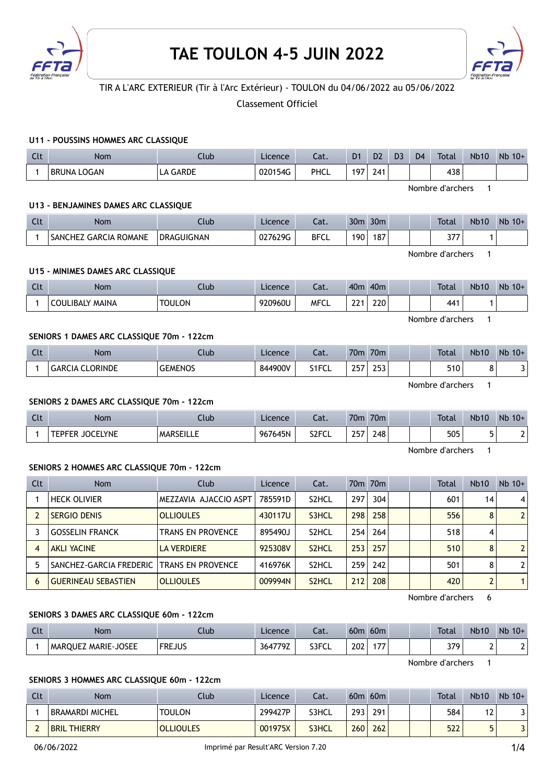



# TIR A L'ARC EXTERIEUR (Tir à l'Arc Extérieur) - TOULON du 04/06/2022 au 05/06/2022

Classement Officiel

### U11 - POUSSINS HOMMES ARC CLASSIQUE

| Clt | Nom                   | .lub              | Licence | Cat. | D <sub>1</sub> | D <sub>2</sub> | D <sub>3</sub> | D <sub>4</sub> | <b>Total</b> | <b>Nb10</b> | <b>Nb</b><br>$10+$ |
|-----|-----------------------|-------------------|---------|------|----------------|----------------|----------------|----------------|--------------|-------------|--------------------|
|     | LOGAN<br><b>BRUNA</b> | <b>GARDE</b><br>⊢ | 020154G | PHCL | 197.           | 241            |                |                | 438          |             |                    |

Nombre d'archers 1

#### U13 - BENJAMINES DAMES ARC CLASSIQUE

| $\sim$<br>ิเเ | Nom                          | .lub              | Licence | $\sim$<br>-aι. | 30 <sub>m</sub> | 30 <sub>m</sub> |  | <b>Total</b> | <b>Nb10</b> | Nb<br>$10+$ |
|---------------|------------------------------|-------------------|---------|----------------|-----------------|-----------------|--|--------------|-------------|-------------|
|               | <b>SANCHEZ GARCIA ROMANE</b> | <b>DRAGUIGNAN</b> | 027629G | <b>BFCL</b>    | 190             | 187             |  | っっっ          |             |             |

Nombre d'archers 1

### U15 - MINIMES DAMES ARC CLASSIQUE

| Clt | Nom                    | .lub          | Licence | Cat.        | 40 <sub>m</sub> | 40 <sub>m</sub> |  | <b>Total</b> | <b>Nb10</b> | <b>N<sub>b</sub></b><br>$10+$ |
|-----|------------------------|---------------|---------|-------------|-----------------|-----------------|--|--------------|-------------|-------------------------------|
|     | <b>COULIBALY MAINA</b> | <b>TOULON</b> | 920960U | <b>MFCL</b> | $\sim$<br>--    | 220             |  | 441          |             |                               |

Nombre d'archers 1

### SENIORS 1 DAMES ARC CLASSIQUE 70m - 122cm

| $\sim$<br>ินเ | Nom                              | .lub           | Licence | $\sim$<br>cal.  | 70 <sub>m</sub> | 70 <sub>m</sub> |  | Total | <b>Nb10</b> | <b>N<sub>b</sub></b><br>$10+$ |
|---------------|----------------------------------|----------------|---------|-----------------|-----------------|-----------------|--|-------|-------------|-------------------------------|
|               | <b>CLORINDE</b><br><b>GARCIA</b> | <b>GEMENOS</b> | 844900V | 34ECT<br>ᇰᆝᆝ ᄂᄂ | $\sim$ $-$      | 200<br>ر ر_     |  | 510   | ບ           | -                             |

Nombre d'archers 1

#### SENIORS 2 DAMES ARC CLASSIQUE 70m - 122cm

| <b>Clt</b> | Nom                                    | Club             | Licence | Cat.               | 70 <sub>m</sub> | 70m |  | <b>Total</b> | <b>Nb10</b> | Nb<br>$10+$ |
|------------|----------------------------------------|------------------|---------|--------------------|-----------------|-----|--|--------------|-------------|-------------|
|            | <b>JOCELYNE</b><br><b>CDECD</b><br>- r | <b>MARSEILLE</b> | 967645N | S <sub>2</sub> FCL | 2E<br>≅∠        | ?48 |  | 505          | -           |             |

Nombre d'archers 1

#### SENIORS 2 HOMMES ARC CLASSIQUE 70m - 122cm

| Clt | <b>Nom</b>                 | Club                     | Licence | Cat.               |     | 70 <sub>m</sub> 70 <sub>m</sub> |  | Total | <b>Nb10</b> | $Nb$ 10+ |
|-----|----------------------------|--------------------------|---------|--------------------|-----|---------------------------------|--|-------|-------------|----------|
|     | <b>HECK OLIVIER</b>        | MEZZAVIA AJACCIO ASPT    | 785591D | S <sub>2</sub> HCL | 297 | 304                             |  | 601   | 14          | 4        |
|     | <b>SERGIO DENIS</b>        | <b>OLLIOULES</b>         | 430117U | S3HCL              | 298 | 258                             |  | 556   | 8           |          |
|     | <b>GOSSELIN FRANCK</b>     | <b>TRANS EN PROVENCE</b> | 895490J | S <sub>2</sub> HCL | 254 | 264                             |  | 518   | 4           |          |
|     | <b>AKLI YACINE</b>         | <b>LA VERDIERE</b>       | 925308V | S <sub>2</sub> HCL | 253 | 257                             |  | 510   | 8           |          |
|     | SANCHEZ-GARCIA FREDERIC    | <b>TRANS EN PROVENCE</b> | 416976K | S <sub>2</sub> HCL | 259 | 242                             |  | 501   | 8           |          |
| 6   | <b>GUERINEAU SEBASTIEN</b> | <b>OLLIOULES</b>         | 009994N | S <sub>2</sub> HCL | 212 | 208                             |  | 420   |             |          |

Nombre d'archers 6

### SENIORS 3 DAMES ARC CLASSIQUE 60m - 122cm

| Clt | Nom                        | Ilub          | Licence | ົາ <del>1</del><br>cal. | 60 <sub>m</sub> | 60 <sub>m</sub>          |  | <b>Total</b> | <b>Nb10</b> | Nb<br>$10+$ |
|-----|----------------------------|---------------|---------|-------------------------|-----------------|--------------------------|--|--------------|-------------|-------------|
|     | <b>MARQUEZ MARIE-JOSEE</b> | <b>FREJUS</b> | 364779Z | S3FCL                   | 202             | $\overline{\phantom{a}}$ |  | 379          |             |             |

Nombre d'archers 1

### SENIORS 3 HOMMES ARC CLASSIQUE 60m - 122cm

| Clt | <b>Nom</b>             | Club             | Licence | Cat.  | 60 <sub>m</sub> | 60 <sub>m</sub> |  | <b>Total</b> | <b>Nb10</b> | $Nb$ 10+ |
|-----|------------------------|------------------|---------|-------|-----------------|-----------------|--|--------------|-------------|----------|
|     | BRAMARDI MICHEL        | <b>TOULON</b>    | 299427P | S3HCL | 293             | 291             |  | 584          | ΙZ          | J        |
|     | THIERRY<br><b>BRIL</b> | <b>OLLIOULES</b> | 001975X | S3HCL | 260             | 262             |  | 522          |             |          |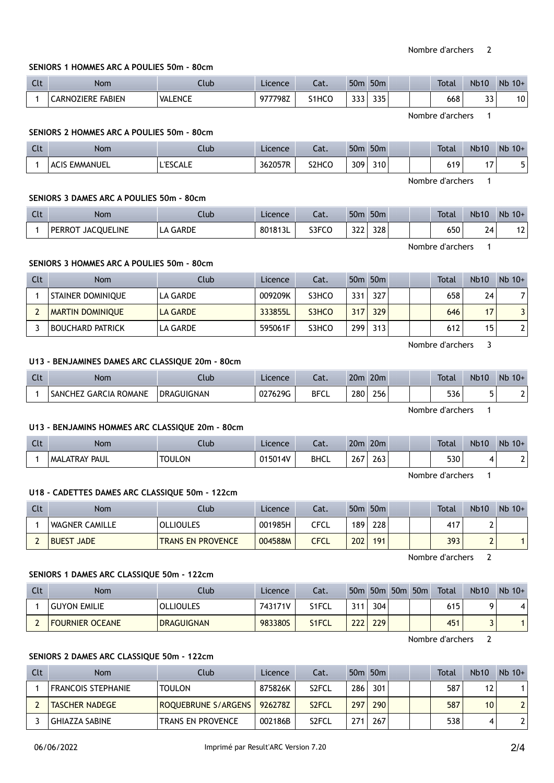## SENIORS 1 HOMMES ARC A POULIES 50m - 80cm

| Clt | Nom                           | Club           | Licence | $-1$<br>-al. | 50 <sub>π</sub> | 50 <sub>m</sub> |  | <b>Total</b> | <b>Nb10</b>  | N <sub>b</sub><br>$10+$ |
|-----|-------------------------------|----------------|---------|--------------|-----------------|-----------------|--|--------------|--------------|-------------------------|
|     | ` FABIEN<br><b>CARNOZIERE</b> | <b>VALENCE</b> | 977798Z | S1HCO        | っっっ<br>JJJ      | 335             |  | 668          | $\sim$<br>JJ | 10                      |

Nombre d'archers 1

### SENIORS 2 HOMMES ARC A POULIES 50m - 80cm

| C14<br><b>ULL</b> | <b>Nom</b>              | Llub <sub>-</sub>        | Licence | $-+$<br>Jal. | 50 <sub>π</sub> | 50 <sub>m</sub> |  | <b>Total</b> | <b>Nb10</b> | Nb<br>$10+$ |
|-------------------|-------------------------|--------------------------|---------|--------------|-----------------|-----------------|--|--------------|-------------|-------------|
|                   | EMMANUEL<br><b>ACIS</b> | $T = C C + T$<br>LESCALE | 362057R | S2HCO        | 309             | 310             |  | 619          | . –         |             |

Nombre d'archers 1

### SENIORS 3 DAMES ARC A POULIES 50m - 80cm

| C14<br>. | <b>Nom</b>                         | Club         | Licence            | ົາ <del>1</del><br>-al. | 50 <sub>m</sub> | 50 <sub>m</sub> | <b>Total</b> | <b>Nb10</b>         | Nb<br>$10+$ |
|----------|------------------------------------|--------------|--------------------|-------------------------|-----------------|-----------------|--------------|---------------------|-------------|
|          | <b>JACOUELINE</b><br><b>PERROT</b> | GARDE<br>LA. | $^{\circ}$ 801813L | S3FCO                   | $\sim$<br>J L L | 328             | 650          | -<br>′4<br><u>.</u> | າາ<br>ΙZ    |

Nombre d'archers 1

### SENIORS 3 HOMMES ARC A POULIES 50m - 80cm

| Clt | <b>Nom</b>               | Club            | Licence | Cat.  |     | 50 <sub>m</sub> 50 <sub>m</sub> |  | <b>Total</b> | <b>Nb10</b> | $Nb$ 10+ |
|-----|--------------------------|-----------------|---------|-------|-----|---------------------------------|--|--------------|-------------|----------|
|     | <b>STAINER DOMINIQUE</b> | LA GARDE        | 009209K | S3HCO | 331 | 327                             |  | 658          | 24          |          |
|     | <b>MARTIN DOMINIOUE</b>  | <b>LA GARDE</b> | 333855L | S3HCO | 317 | 329                             |  | 646          | 17          |          |
|     | <b>BOUCHARD PATRICK</b>  | LA GARDE        | 595061F | S3HCO | 299 | 313                             |  | 612          | 15          |          |

Nombre d'archers 3

# U13 - BENJAMINES DAMES ARC CLASSIQUE 20m - 80cm

| $\sim$<br>$\overline{\phantom{a}}$ | Nom                                            | lub:              | Licence | $-1$<br>cal. | 20 <sub>m</sub> | 20 <sub>m</sub> |  | <b>Total</b> | <b>Nb10</b> | Nb<br>$10+$ |
|------------------------------------|------------------------------------------------|-------------------|---------|--------------|-----------------|-----------------|--|--------------|-------------|-------------|
|                                    | <b>ROMANE</b><br><b>GARCIA</b><br>:HEZ<br>SANC | <b>DRAGUIGNAN</b> | 027629G | <b>BFCL</b>  | 280             | 256             |  | 536          |             |             |

Nombre d'archers 1

### U13 - BENJAMINS HOMMES ARC CLASSIQUE 20m - 80cm

| Clt | <b>Nom</b>           | Club          | Licence | $-1$<br>cal. | 20 <sub>m</sub> | 20 <sub>m</sub> |  | <b>Total</b> | <b>Nb10</b> | Nb<br>$10+$ |
|-----|----------------------|---------------|---------|--------------|-----------------|-----------------|--|--------------|-------------|-------------|
|     | <b>MALATRAY PAUL</b> | <b>TOULON</b> | 015014V | <b>BHCL</b>  | 267             | $\sim$<br>263   |  | 530          |             |             |

Nombre d'archers 1

### U18 - CADETTES DAMES ARC CLASSIQUE 50m - 122cm

| Clt | Nom                   | Club                     | Licence | Cat. | 50m | 50 <sub>m</sub> | Total | <b>Nb10</b> | $Nb$ 10+ |
|-----|-----------------------|--------------------------|---------|------|-----|-----------------|-------|-------------|----------|
|     | <b>WAGNER CAMILLE</b> | <b>OLLIOULES</b>         | 001985H | CFCL | 189 | 228             | 417   | ı           |          |
|     | <b>BUEST JADE</b>     | <b>TRANS EN PROVENCE</b> | 004588M | CFCL | 202 | 191             | 393   | ı           |          |

Nombre d'archers 2

#### SENIORS 1 DAMES ARC CLASSIQUE 50m - 122cm

| Clt | Nom                    | Club              | Licence | Cat.               |     | $50m$ 50 $m$ | 50 <sub>m</sub> | 50 <sub>m</sub> | Total | <b>Nb10</b> | $Nb$ 10+ |
|-----|------------------------|-------------------|---------|--------------------|-----|--------------|-----------------|-----------------|-------|-------------|----------|
|     | <b>GUYON EMILIE</b>    | <b>OLLIOULES</b>  | 743171V | S1FCL              | 311 | 304          |                 |                 | 615   |             |          |
|     | <b>FOURNIER OCEANE</b> | <b>DRAGUIGNAN</b> | 983380S | S <sub>1</sub> FCL | 222 | 229          |                 |                 | 451   |             |          |

Nombre d'archers 2

### SENIORS 2 DAMES ARC CLASSIQUE 50m - 122cm

| Clt | Nom                       | Club                     | Licence | Cat.               |     | 50 <sub>m</sub> 50 <sub>m</sub> |  | Total | Nb10            | $Nb$ 10+ |
|-----|---------------------------|--------------------------|---------|--------------------|-----|---------------------------------|--|-------|-----------------|----------|
|     | <b>FRANCOIS STEPHANIE</b> | <b>TOULON</b>            | 875826K | S <sub>2</sub> FCL | 286 | 301                             |  | 587   | 12              |          |
|     | <b>TASCHER NADEGE</b>     | ROQUEBRUNE S/ARGENS      | 926278Z | S <sub>2</sub> FCL | 297 | 290                             |  | 587   | 10 <sup>°</sup> |          |
|     | GHIAZZA SABINE            | <b>TRANS EN PROVENCE</b> | 002186B | S <sub>2</sub> FCL | 271 | 267                             |  | 538   | 4               |          |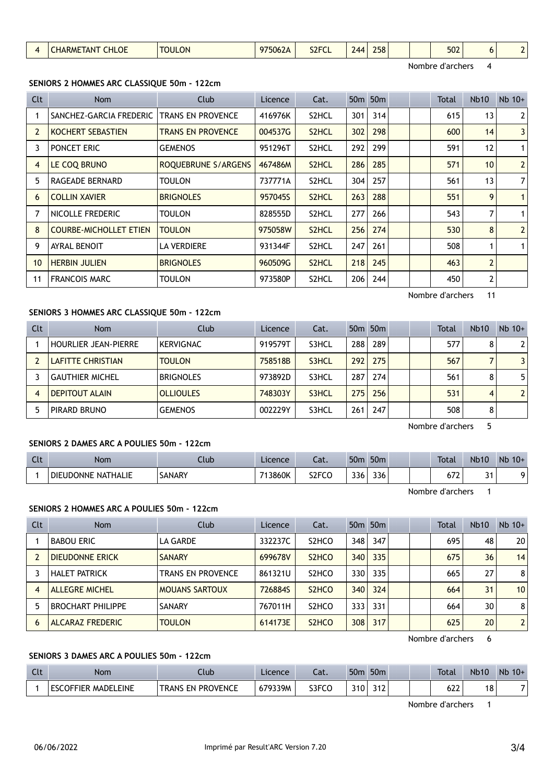| <b>HARME</b><br>$\Delta \Lambda$<br><b>97506ZA</b><br><b>IAN</b><br>י<br>JLI VL<br>$\sim$ |  | <b>CHLOE</b> | <b>TOULON</b> | $\sim$ | S <sub>2</sub> FC |  | 258 |  |  | 502 |  | -<br>$\sim$ |
|-------------------------------------------------------------------------------------------|--|--------------|---------------|--------|-------------------|--|-----|--|--|-----|--|-------------|
|-------------------------------------------------------------------------------------------|--|--------------|---------------|--------|-------------------|--|-----|--|--|-----|--|-------------|

Nombre d'archers 4

### SENIORS 2 HOMMES ARC CLASSIQUE 50m - 122cm

| Clt            | Nom                           | Club                     | Licence | Cat.               |     | 50 <sub>m</sub> 50 <sub>m</sub> |  | <b>Total</b>     | <b>Nb10</b>     | $Nb$ 10+       |
|----------------|-------------------------------|--------------------------|---------|--------------------|-----|---------------------------------|--|------------------|-----------------|----------------|
|                | SANCHEZ-GARCIA FREDERIC       | <b>TRANS EN PROVENCE</b> | 416976K | S2HCL              | 301 | 314                             |  | 615              | 13              | 2 <sup>1</sup> |
| $\overline{2}$ | <b>KOCHERT SEBASTIEN</b>      | <b>TRANS EN PROVENCE</b> | 004537G | S <sub>2</sub> HCL | 302 | 298                             |  | 600              | 14              | 3              |
| 3              | PONCET ERIC                   | <b>GEMENOS</b>           | 951296T | S2HCL              | 292 | 299                             |  | 591              | 12              | 1 <sup>1</sup> |
| 4              | LE COQ BRUNO                  | ROQUEBRUNE S/ARGENS      | 467486M | S <sub>2</sub> HCL | 286 | 285                             |  | 571              | 10 <sup>1</sup> | 2              |
| 5              | RAGEADE BERNARD               | <b>TOULON</b>            | 737771A | S2HCL              | 304 | 257                             |  | 561              | 13              | 7 <sup>1</sup> |
| 6              | <b>COLLIN XAVIER</b>          | <b>BRIGNOLES</b>         | 957045S | S <sub>2</sub> HCL | 263 | 288                             |  | 551              | 9               | 1 <sup>1</sup> |
| 7              | NICOLLE FREDERIC              | TOULON                   | 828555D | S2HCL              | 277 | 266                             |  | 543              | 7               |                |
| 8              | <b>COURBE-MICHOLLET ETIEN</b> | <b>TOULON</b>            | 975058W | S <sub>2</sub> HCL | 256 | 274                             |  | 530              | 8               | 2 <sup>1</sup> |
| 9              | <b>AYRAL BENOIT</b>           | LA VERDIERE              | 931344F | S2HCL              | 247 | 261                             |  | 508              |                 |                |
| 10             | <b>HERBIN JULIEN</b>          | <b>BRIGNOLES</b>         | 960509G | S <sub>2</sub> HCL | 218 | 245                             |  | 463              | $\overline{2}$  |                |
| 11             | <b>FRANCOIS MARC</b>          | TOULON                   | 973580P | S <sub>2</sub> HCL | 206 | 244                             |  | 450              | 2               |                |
|                |                               |                          |         |                    |     |                                 |  | Nombre d'archers | 11              |                |

### SENIORS 3 HOMMES ARC CLASSIQUE 50m - 122cm

| Clt | <b>Nom</b>                  | Club             | Licence | Cat.  |     | 50 <sub>m</sub> 50 <sub>m</sub> |  | <b>Total</b> | <b>Nb10</b> | $Nb$ 10+       |
|-----|-----------------------------|------------------|---------|-------|-----|---------------------------------|--|--------------|-------------|----------------|
|     | <b>HOURLIER JEAN-PIERRE</b> | <b>KERVIGNAC</b> | 919579T | S3HCL | 288 | 289                             |  | 577          | 8           | 2              |
|     | <b>LAFITTE CHRISTIAN</b>    | <b>TOULON</b>    | 758518B | S3HCL | 292 | 275                             |  | 567          |             | 3              |
|     | <b>GAUTHIER MICHEL</b>      | <b>BRIGNOLES</b> | 973892D | S3HCL | 287 | 274                             |  | 561          | 8           | 5              |
| 4   | DEPITOUT ALAIN              | <b>OLLIOULES</b> | 748303Y | S3HCL | 275 | 256                             |  | 531          |             | $\overline{2}$ |
|     | <b>PIRARD BRUNO</b>         | <b>GEMENOS</b>   | 002229Y | S3HCL | 261 | 247                             |  | 508          | 8           |                |

Nombre d'archers 5

# SENIORS 2 DAMES ARC A POULIES 50m - 122cm

| $\Gamma$<br>Ult | <b>Nom</b>                   | Club   | Licence | ۰,۰<br>cal.        | 50 <sub>m</sub> | 50 <sub>m</sub> | <b>Total</b>                     | <b>Nb10</b>        | Nb<br>$10+$ |
|-----------------|------------------------------|--------|---------|--------------------|-----------------|-----------------|----------------------------------|--------------------|-------------|
|                 | NATHALIE<br><b>DIEUDONNE</b> | SANARY | 713860K | S <sub>2</sub> FCO | 336             | 336             | $\overline{\phantom{a}}$<br>07 Z | $\sim$ $\sim$<br>٠ |             |

Nombre d'archers 1

### SENIORS 2 HOMMES ARC A POULIES 50m - 122cm

| Clt | <b>Nom</b>               | Club                  | Licence | Cat.                           |     | 50 <sub>m</sub> 50 <sub>m</sub> |  | <b>Total</b> | <b>Nb10</b> | $Nb$ 10+        |
|-----|--------------------------|-----------------------|---------|--------------------------------|-----|---------------------------------|--|--------------|-------------|-----------------|
|     | <b>BABOU ERIC</b>        | LA GARDE              | 332237C | S <sub>2</sub> HCO             | 348 | 347                             |  | 695          | 48          | 20 <sup>1</sup> |
|     | <b>DIEUDONNE ERICK</b>   | <b>SANARY</b>         | 699678V | S <sub>2</sub> H <sub>CO</sub> | 340 | 335                             |  | 675          | 36          | 14              |
|     | <b>HALET PATRICK</b>     | TRANS EN PROVENCE     | 861321U | S <sub>2</sub> HCO             | 330 | 335                             |  | 665          | 27          | 8 <sup>1</sup>  |
| 4   | <b>ALLEGRE MICHEL</b>    | <b>MOUANS SARTOUX</b> | 726884S | S <sub>2</sub> H <sub>CO</sub> | 340 | 324                             |  | 664          | 31          | 10              |
|     | <b>BROCHART PHILIPPE</b> | <b>SANARY</b>         | 767011H | S <sub>2</sub> HCO             | 333 | 331                             |  | 664          | 30          | 8               |
| 6   | <b>ALCARAZ FREDERIC</b>  | <b>TOULON</b>         | 614173E | S <sub>2</sub> H <sub>CO</sub> | 308 | 317                             |  | 625          | 20          | 2 <sup>1</sup>  |

Nombre d'archers 6

# SENIORS 3 DAMES ARC A POULIES 50m - 122cm

| $\sim$<br>uu | <b>Nom</b>                                   | Club                                   | Licence | Cat.  | 50 <sub>m</sub> | 50 <sub>m</sub>                   | <b>Total</b> | <b>Nb10</b> | Nb<br>$10+$ |
|--------------|----------------------------------------------|----------------------------------------|---------|-------|-----------------|-----------------------------------|--------------|-------------|-------------|
|              | <b>_EINE</b><br>ES0<br>COFFIER<br>MADF'<br>. | <b>TRANS</b><br><b>PROVENCE</b><br>FN. | 679339M | S3FCC | 310             | $\overline{\phantom{a}}$<br>ے ا ب | ເາາ<br>ᇲ     | 18          | ⇁           |

Nombre d'archers 1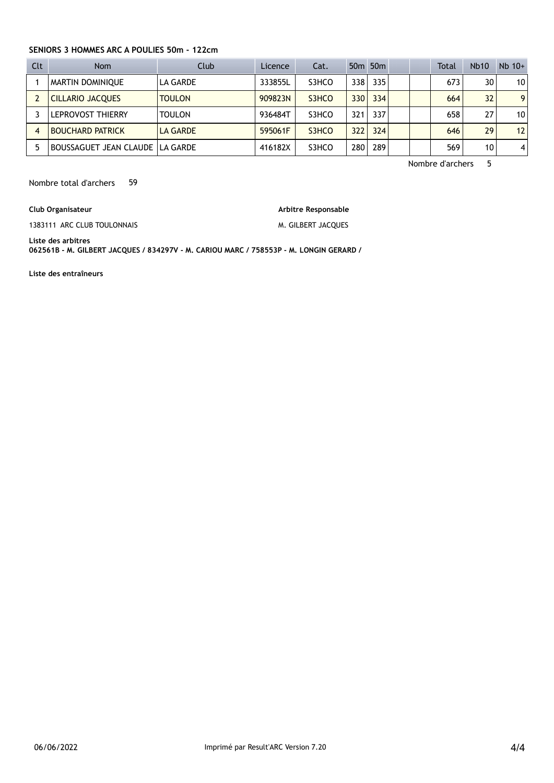### SENIORS 3 HOMMES ARC A POULIES 50m - 122cm

| Clt | <b>Nom</b>              | Club            | <b>Licence</b> | Cat.  |                  | 50 <sub>m</sub> 50 <sub>m</sub> |  | <b>Total</b> | <b>Nb10</b> | $Nb$ 10+       |
|-----|-------------------------|-----------------|----------------|-------|------------------|---------------------------------|--|--------------|-------------|----------------|
|     | <b>MARTIN DOMINIOUE</b> | LA GARDE        | 333855L        | S3HCO | 338              | 335                             |  | 673          | 30          | 10             |
|     | <b>CILLARIO JACQUES</b> | <b>TOULON</b>   | 909823N        | S3HCO | 330 <sup>1</sup> | 334                             |  | 664          | 32          | 9              |
|     | LEPROVOST THIERRY       | <b>TOULON</b>   | 936484T        | S3HCO | 321              | 337                             |  | 658          | 27          | 10             |
|     | <b>BOUCHARD PATRICK</b> | <b>LA GARDE</b> | 595061F        | S3HCO | 322              | 324                             |  | 646          | 29          | 12             |
|     | BOUSSAGUET JEAN CLAUDE  | I LA GARDE      | 416182X        | S3HCO | 280              | 289                             |  | 569          | 10          | $\overline{4}$ |

Nombre d'archers 5

Nombre total d'archers 59

Club Organisateur

1383111 ARC CLUB TOULONNAIS

Arbitre Responsable M. GILBERT JACQUES

Liste des arbitres 062561B - M. GILBERT JACQUES / 834297V - M. CARIOU MARC / 758553P - M. LONGIN GERARD /

Liste des entraîneurs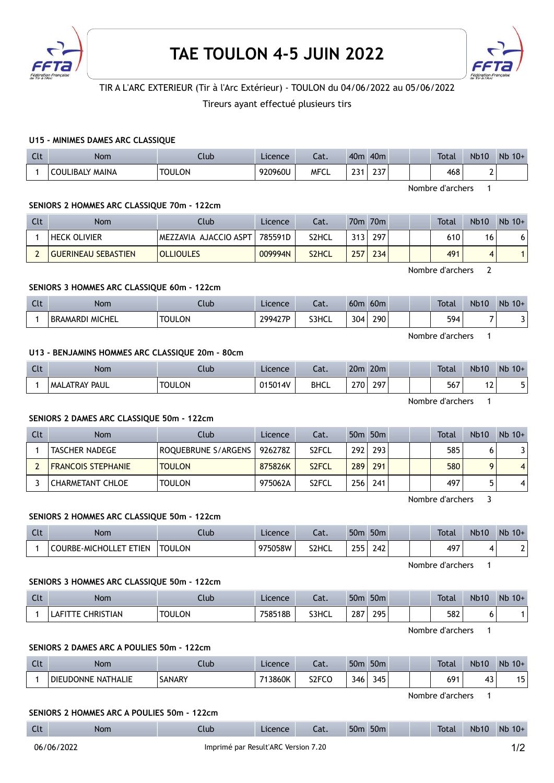



# TIR A L'ARC EXTERIEUR (Tir à l'Arc Extérieur) - TOULON du 04/06/2022 au 05/06/2022

Tireurs ayant effectué plusieurs tirs

### U15 - MINIMES DAMES ARC CLASSIQUE

| $\sim$<br><b>CUL</b> | Nom                    | Ilub          | Licence | Cat.        | 40 <sub>m</sub> | 40 <sub>m</sub>      | <b>Total</b> | <b>Nb10</b> | Nb<br>$10+$ |
|----------------------|------------------------|---------------|---------|-------------|-----------------|----------------------|--------------|-------------|-------------|
|                      | <b>COULIBALY MAINA</b> | <b>TOULON</b> | 920960U | <b>MFCL</b> | 224<br>رے       | $\sim$<br><b>LSI</b> | 468          | -           |             |

Nombre d'archers 1

#### SENIORS 2 HOMMES ARC CLASSIQUE 70m - 122cm

| Clt | Nom                        | Club                  | <b>Licence</b> | Cat.               |     | 70m 70m |  | Total | <b>Nb10</b> | $Nb$ 10+ |
|-----|----------------------------|-----------------------|----------------|--------------------|-----|---------|--|-------|-------------|----------|
|     | <b>HECK OLIVIER</b>        | MEZZAVIA AJACCIO ASPT | 785591D        | S2HCL              | 313 | 297     |  | 610   | 16          |          |
|     | <b>GUERINEAU SEBASTIEN</b> | <b>OLLIOULES</b>      | 009994N        | S <sub>2</sub> HCL | 257 | 234     |  | 491   |             |          |

Nombre d'archers 2

#### SENIORS 3 HOMMES ARC CLASSIQUE 60m - 122cm

| Clt | Nom                              | $\mathsf{uub}$ | Licence | ำ1<br>cal. | 60 <sub>m</sub> | 60 <sub>m</sub> |  | <b>Total</b> | <b>Nb10</b> | Nb<br>$10+$ |
|-----|----------------------------------|----------------|---------|------------|-----------------|-----------------|--|--------------|-------------|-------------|
|     | <b>MICHEL</b><br><b>BRAMARDI</b> | <b>TOULON</b>  | 299427P | S3HCL      | 304             | 290             |  | 594          |             |             |

Nombre d'archers 1

### U13 - BENJAMINS HOMMES ARC CLASSIQUE 20m - 80cm

| C14<br><b>CLL</b> | <b>Nom</b>       | Ilub          | Licence | $\sim$<br>cal. | 20 <sub>m</sub> | 20 <sub>m</sub> |  | <b>Total</b> | <b>Nb10</b> | <b>Nb</b><br>$10+$ |
|-------------------|------------------|---------------|---------|----------------|-----------------|-----------------|--|--------------|-------------|--------------------|
|                   | PAUL<br>MALATRAY | <b>TOULON</b> | 015014V | <b>BHCL</b>    | 270             | 707             |  | 567          | ▵           | ۔                  |

Nombre d'archers 1

### SENIORS 2 DAMES ARC CLASSIQUE 50m - 122cm

| Clt | <b>Nom</b>                | Club                | Licence | Cat.               |                  | 50 <sub>m</sub> 50 <sub>m</sub> |  | Total | <b>Nb10</b> | $Nb$ 10+       |
|-----|---------------------------|---------------------|---------|--------------------|------------------|---------------------------------|--|-------|-------------|----------------|
|     | <b>TASCHER NADEGE</b>     | ROOUEBRUNE S/ARGENS | 926278Z | S <sub>2</sub> FCL | 292 <sub>1</sub> | 293                             |  | 585   |             |                |
|     | <b>FRANCOIS STEPHANIE</b> | <b>TOULON</b>       | 875826K | S <sub>2</sub> FCL | 289              | 291                             |  | 580   |             | $\overline{4}$ |
|     | CHARMETANT CHLOE          | <b>TOULON</b>       | 975062A | S <sub>2</sub> FCL | 256 <sub>1</sub> | 241                             |  | 497   |             | 4              |

Nombre d'archers 3

### SENIORS 2 HOMMES ARC CLASSIQUE 50m - 122cm

| Clt | Nom                         | .lub          | Licence | $\sim$<br>cal. | 50 <sub>m</sub> | 50 <sub>m</sub> |  | <b>Total</b> | <b>Nb10</b> | $Nb$ 10+ |
|-----|-----------------------------|---------------|---------|----------------|-----------------|-----------------|--|--------------|-------------|----------|
|     | ' ETIEN<br>COURBE-MICHOLLET | <b>TOULON</b> | 975058W | S2HCL          | つらら<br>ـ ـ ـ    | 242             |  | 497          |             |          |

Nombre d'archers 1

#### SENIORS 3 HOMMES ARC CLASSIQUE 50m - 122cm

| Clt | <b>Nom</b>               | Llub          | Licence | $\sim$<br>cal. | 50 <sub>n</sub> | 50 <sub>m</sub> |  | <b>Total</b> | <b>Nb10</b> | Nb<br>$10+$ |
|-----|--------------------------|---------------|---------|----------------|-----------------|-----------------|--|--------------|-------------|-------------|
|     | CHRISTIAN<br>. .<br>∟AF' | <b>TOULON</b> | 758518B | S3HCL          | 287             | 205<br>27J      |  | 582          |             |             |

Nombre d'archers 1

### SENIORS 2 DAMES ARC A POULIES 50m - 122cm

| Clt | Nom                | Llub   | Licence | - 1<br>∟aι. | 50 <sub>m</sub> | 50 <sub>m</sub> |  | <b>Total</b> | <b>Nb10</b>                     | Nb<br>$10+$ |
|-----|--------------------|--------|---------|-------------|-----------------|-----------------|--|--------------|---------------------------------|-------------|
|     | DIEUDONNE NATHALIE | SANARY | 713860K | S2FCC       | 346             | 345<br>᠇৴       |  | 691          | $\overline{\phantom{a}}$<br>т., | 1 E<br>. J  |

Nombre d'archers 1

#### SENIORS 2 HOMMES ARC A POULIES 50m - 122cm

| Clt | Nom        | lub                                 | Licence | Cat. | 50 <sub>m</sub> | 50 <sub>m</sub> | <b>Total</b> | <b>Nb10</b> | $Nb$ 10+                 |
|-----|------------|-------------------------------------|---------|------|-----------------|-----------------|--------------|-------------|--------------------------|
|     | 06/06/2022 | Imprimé par Result'ARC Version 7.20 |         |      |                 |                 |              |             | $\overline{\phantom{a}}$ |